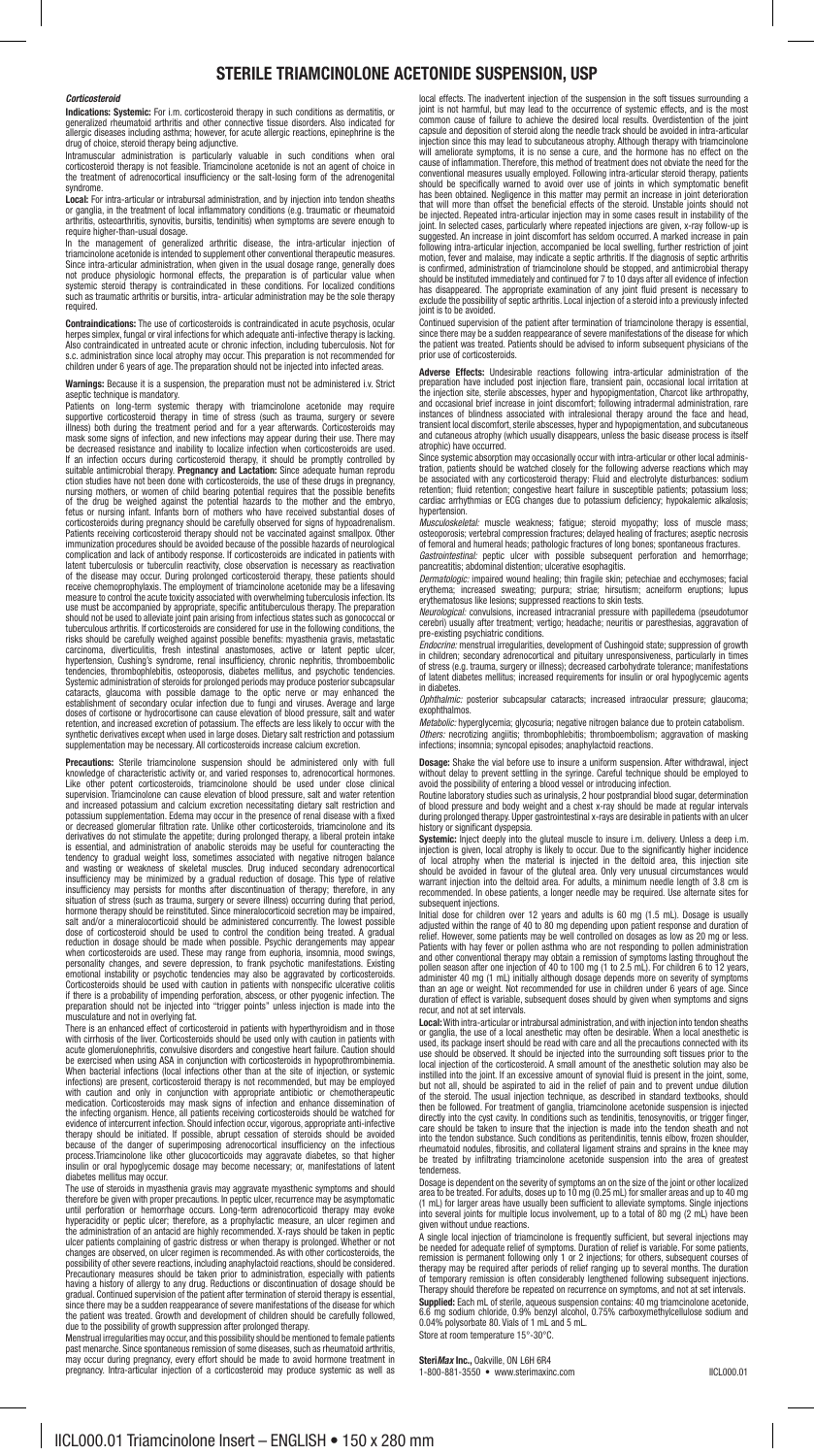## **STERILE TRIAMCINOLONE ACETONIDE SUSPENSION, USP**

## *Corticosteroid*

**Indications: Systemic:** For i.m. corticosteroid therapy in such conditions as dermatitis, or generalized rheumatoid arthritis and other connective tissue disorders. Also indicated for allergic diseases including asthma; however, for acute allergic reactions, epinephrine is the drug of choice, steroid therapy being adjunctive.

Intramuscular administration is particularly valuable in such conditions when oral<br>corticosteroid therapy is not feasible. Triamcinolone acetonide is not an agent of choice in<br>the treatment of adrenocortical insufficiency syndrome.

**Local:** For intra-articular or intrabursal administration, and by injection into tendon sheaths or ganglia, in the treatment of local inflammatory conditions (e.g. traumatic or rheumatoid arthritis, osteoarthritis, synovitis, bursitis, tendinitis) when symptoms are severe enough to

arthritis, ostecarthritis, synowitis, burstitis, tendinitis) when symptoms are severe enough to<br>require higher-than-usual dosage.<br>In the management of generalized arthritic disease, the intra-articular injection of<br>triamci

**Contraindications:** The use of corticosteroids is contraindicated in acute psychosis, ocular<br>herpes simplex, fungal or viral infections for which adequate anti-infective therapy is lacking.<br>Also contraindicated in untreat s.c. administration since local atrophy may occur. This preparation is not recommended for children under 6 years of age. The preparation should not be injected into infected areas.

**Warnings:** Because it is a suspension, the preparation must not be administered i.v. Strict aseptic technique is mandatory.

Patients on long-term systemic therapy with triamcinolone acetonide may require supportive corticosteroid therapy in time of stress (such as trauma, surgery or severe illness) both during the treatment period and for a year afterwards. Corticosteroids may<br>smask some signs of infection, and new infections may appear during their use. There may<br>be decreased resistance and inability to loc of the disease may occur. During prolonged corticosteroid therapy, these patients should<br>receive chemoprophylaxis. The employment of triamcinolone acetonide may be a lifesaving<br>measure to control the acute toxicity associa tuberculous arthritis. If corticosteroids are considered for use in the following conditions, the risks should be carefully weighed against possible benefits: myasthenia gravis, metastatic<br>carcinoma, diverticulitis, fresh Systemic administration of steroids for prolonged periods may produce posterior subcapsular<br>cataracts, glaucoma with possible damage to the optic nerve or may enhanced the<br>establishment of secondary ocular infection due to synthetic derivatives except when used in large doses. Dietary salt restriction and potassium supplementation may be necessary. All corticosteroids increase calcium excretion.

**Precautions:** Sterile triamcinolone suspension should be administered only with full knowledge of characteristic activity or, and varied responses to, adrenocortical hormones.<br>Like other potent corticosteroids, triamcinolone should be used under close clinical<br>supervision. Triamcinolone can cause elevation or decreased glomerular fitteration rate. Unlike other corticosteroids, traincinolone and its<br>derivatives do not stimulate the appetite, during prolonged therapy, a liberal procelin intake<br>is essential, and administration

There is an enhanced effect of corticosteroid in patients with hyperthypoidsm and in those<br>with cirrhosis of the liver. Corticosteroids should be used only with reaution in patients with<br>acute glomerulonephritis, convulsiv the infecting organism. Hence, all patients receiving corticosteroids should be watched for<br>evidence of intercurrent infection. Should infection occur, vigorous, appropriate anti-infective<br>therapy should be initiated. If p

diabetes mellitus may occur.<br>The use of steroids in myasthenia gravis may aggravate myasthenic symptoms and should<br>therefore be given with proper precautions. In peptic ulcer, recurrence may be asymptomatic<br>until perforati the administration of an antacid are highly recommended. X-rays should be taken in peptic<br>ulcer patients complaining of gastric distress or when therapy is prolonged. Whether or not<br>changes are observed, on ulcer regimen i Precautionary measures should be taken prior to administration, especially with patients<br>having a history of allergy to any drug, Reductions or discontinuation of dosage should be<br>gradual. Continued supervision of the pati

due to the possibility of growth suppression after prolonged therapy.<br>Menstrual irregularities may occur, and this possibility should be mentioned to female patients<br>past menarche. Since spontaneous remission of some disea

local effects. The madvertent injection of the suspension in the soft tissues surrounding a<br>joint is not harmful, but may lead to the occurrence of systemic effets, and is the most<br>common cause of failure to achieve the de conventional measures usually employed. Following intra-articular steroid therapy, pattents<br>should be specifically warmed to avoid over use of joints in which symptomatic benefit<br>has been obtained. Negligence in this matte

since there may be a sudden reappearance of severe manifestations of the disease for which the patient was treated. Patients should be advised to inform subsequent physicians of the prior use of corticosteroids.

**Adverse Effects:** Undesirable reactions following intra-articular administration of the preparation have included post injection fare, transient to aince the injection at the injection stile, the interval of the injection instances of blindness associated with intralesional therapy around the face and head, transient local discomfort, sterile abscesses, hyper and hypopigmentation, and subcutaneous transient local discomfort, sterile abscesses, hyper and hypopigmentation, and subcutaneous and cutaneous atrophy (which usually disappears, unless the basic disease process is itself atrophic) have occurred.

Since systemic absorption may occasionally occur with intra-articular or other local administration, patients should be watched closely for the following adverse reactions which may be associated with any corticosteroid th hypertension.

*Musculoskeletal:* muscle weakness; fatigue; steroid myopathy; loss of muscle mass;<br>osteoporosis; vertebral compression fractures; delayed healing of fractures; aseptic necrosis<br>of femoral and humeral heads; pathologic fra *Gastrointestinal:* peptic ulcer with possible subsequent perforation and hemorrhage; pancreatitis; abdominal distention; ulcerative esophagitis.

*Dermatologic:* impaired wound healing; thin fragile skin; petechiae and ecchymoses; facial<br>erythema; increased sweating; purpura; striae; hirsutism; acneiform eruptions; lupus<br>erythematosus like lesions; suppressed reacti

cerebri) usually after treatment; vertigo; headache; neuritis or paresthesias, aggravation of<br>pre-existing psychiatric conditions.<br>*Endocrine*: menstrual irregularities, development of Cushingoid state; suppression of grow

*Ophthalmic:* posterior subcapsular cataracts: increased intraocular pressure; glaucoma; exophthalmo

*Metabolic:* hyperglycemia; glycosuria; negative nitrogen balance due to protein catabolism. *Others:* necrotizing angiitis; thrombophlebitis; thromboembolism; aggravation of masking infections; insomnia; syncopal episodes; anaphylactoid reactions.

**Dosage:** Shake the vial before use to insure a uniform suspension. After withdrawal, inject<br>without delay to prevent settling in the syringe. Carreful technique should be employed to<br>avoid the possibility of entering a bl

history or significant dyspepsia.<br>**Systemic:** highet deply into the gluteal muscle to insure i.m. delivery. Unless a deep i.m.<br>**Systemic:** highet deply into the gluteal muscle to the significantly higher incidence<br>of local

Initial dose for children over 12 years and adults is 60 mg (1.5 mL). Dosage is usually<br>adjusted within the range of 40 to 80 mg depending upon patient response and duration of<br>relief. However, some patients may be well c administer 40 mg (1 mL) initially although dosage depends more on severity of symptoms<br>than an age or weight. Not recommended for use in children under 6 years of age. Since<br>duration of effect is variable, subsequent doses

**Local:** With intra-articular or intrabursal administration, and with injection into tendon sheaths<br>or ganglia, the use of a local anesthetic may often be desirable. When a local anesthetic is<br>used, its package insert shou instilled into the joint. If an excessive amount of synovial fluid is present in the joint, some, but not all, should be aspirated to aid in the relief of pain and to prevent undue dilution<br>of the steroid. The usual inject care should be taken to insure that the injection is made into the tendon sheath and not<br>into the tendon substance. Such conditions as peritendinitis, tennis elbow, frozen shoulder,<br>rheumatoid nodules, fibrositis, and coll tenderness.

Dosage is dependent on the severity of symptoms an on the size of the joint or other localized<br>area to be treated. For adults, doses up to 10 mg (0.25 mL) for smaller areas and up to 40 mg<br>(1 mL) for larger areas have usua given without undue reactions.

A single local injection of triamcinolone is frequently sufficient, but several injections may<br>be needed for adequate relief of symptoms. Duration of relief is variable. For some patients,<br>remission is permanent following 6.6 mg sodium chloride, 0.9% benzyl alcohol, 0.75% carboxymethylcellulose sodium and 0.04% polysorbate 80. Vials of 1 mL and 5 mL. Store at room temperature 15°-30°C.

**Steri***Max* **Inc.,** Oakville, ON L6H 6R4

1-800-881-3550 • www.sterimaxinc.com IICL000.01